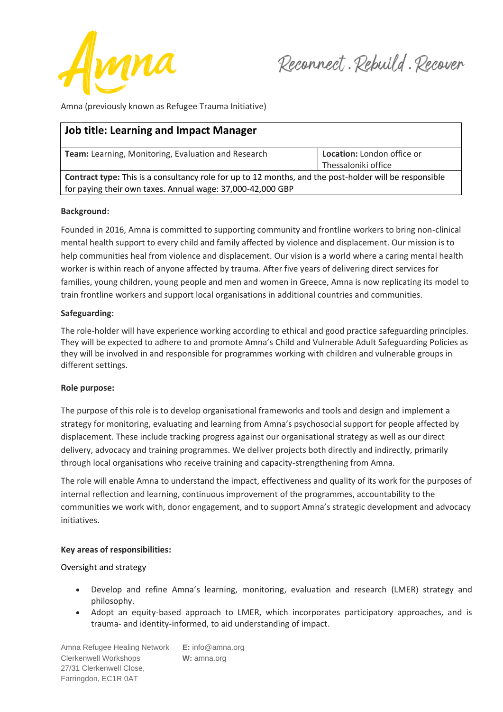

Amna (previously known as Refugee Trauma Initiative)

# **Job title: Learning and Impact Manager**

| Team: Learning, Monitoring, Evaluation and Research                                                    | Location: London office or |
|--------------------------------------------------------------------------------------------------------|----------------------------|
|                                                                                                        | Thessaloniki office        |
| Contract type: This is a consultancy role for up to 12 months, and the post-holder will be responsible |                            |
| for paying their own taxes. Annual wage: 37,000-42,000 GBP                                             |                            |

#### **Background:**

Founded in 2016, Amna is committed to supporting community and frontline workers to bring non-clinical mental health support to every child and family affected by violence and displacement. Our mission is to help communities heal from violence and displacement. Our vision is a world where a caring mental health worker is within reach of anyone affected by trauma. After five years of delivering direct services for families, young children, young people and men and women in Greece, Amna is now replicating its model to train frontline workers and support local organisations in additional countries and communities.

#### **Safeguarding:**

The role-holder will have experience working according to ethical and good practice safeguarding principles. They will be expected to adhere to and promote Amna's Child and Vulnerable Adult Safeguarding Policies as they will be involved in and responsible for programmes working with children and vulnerable groups in different settings.

# **Role purpose:**

The purpose of this role is to develop organisational frameworks and tools and design and implement a strategy for monitoring, evaluating and learning from Amna's psychosocial support for people affected by displacement. These include tracking progress against our organisational strategy as well as our direct delivery, advocacy and training programmes. We deliver projects both directly and indirectly, primarily through local organisations who receive training and capacity-strengthening from Amna.

The role will enable Amna to understand the impact, effectiveness and quality of its work for the purposes of internal reflection and learning, continuous improvement of the programmes, accountability to the communities we work with, donor engagement, and to support Amna's strategic development and advocacy initiatives.

#### **Key areas of responsibilities:**

#### Oversight and strategy

- Develop and refine Amna's learning, monitoring, evaluation and research (LMER) strategy and philosophy.
- Adopt an equity-based approach to LMER, which incorporates participatory approaches, and is trauma- and identity-informed, to aid understanding of impact.

Amna Refugee Healing Network **E:** info@amna.org Clerkenwell Workshops **W:** amna.org 27/31 Clerkenwell Close, Farringdon, EC1R 0AT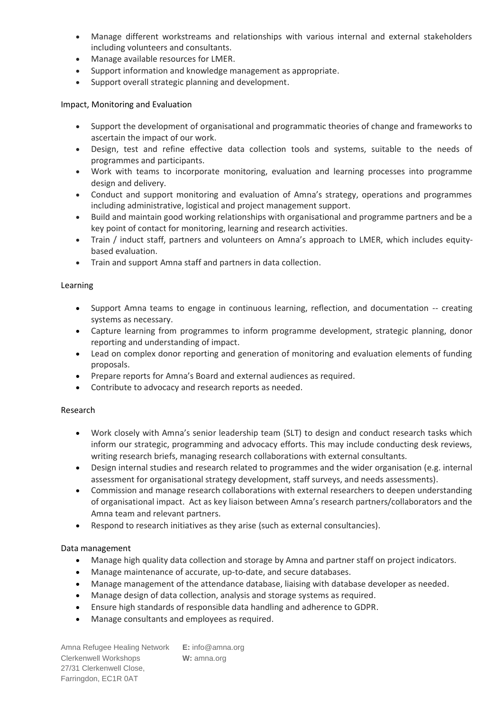- Manage different workstreams and relationships with various internal and external stakeholders including volunteers and consultants.
- Manage available resources for LMER.
- Support information and knowledge management as appropriate.
- Support overall strategic planning and development.

Impact, Monitoring and Evaluation

- Support the development of organisational and programmatic theories of change and frameworks to ascertain the impact of our work.
- Design, test and refine effective data collection tools and systems, suitable to the needs of programmes and participants.
- Work with teams to incorporate monitoring, evaluation and learning processes into programme design and delivery.
- Conduct and support monitoring and evaluation of Amna's strategy, operations and programmes including administrative, logistical and project management support.
- Build and maintain good working relationships with organisational and programme partners and be a key point of contact for monitoring, learning and research activities.
- Train / induct staff, partners and volunteers on Amna's approach to LMER, which includes equitybased evaluation.
- Train and support Amna staff and partners in data collection.

#### Learning

- Support Amna teams to engage in continuous learning, reflection, and documentation -- creating systems as necessary.
- Capture learning from programmes to inform programme development, strategic planning, donor reporting and understanding of impact.
- Lead on complex donor reporting and generation of monitoring and evaluation elements of funding proposals.
- Prepare reports for Amna's Board and external audiences as required.
- Contribute to advocacy and research reports as needed.

# Research

- Work closely with Amna's senior leadership team (SLT) to design and conduct research tasks which inform our strategic, programming and advocacy efforts. This may include conducting desk reviews, writing research briefs, managing research collaborations with external consultants.
- Design internal studies and research related to programmes and the wider organisation (e.g. internal assessment for organisational strategy development, staff surveys, and needs assessments).
- Commission and manage research collaborations with external researchers to deepen understanding of organisational impact. Act as key liaison between Amna's research partners/collaborators and the Amna team and relevant partners.
- Respond to research initiatives as they arise (such as external consultancies).

# Data management

- Manage high quality data collection and storage by Amna and partner staff on project indicators.
- Manage maintenance of accurate, up-to-date, and secure databases.
- Manage management of the attendance database, liaising with database developer as needed.
- Manage design of data collection, analysis and storage systems as required.
- Ensure high standards of responsible data handling and adherence to GDPR.
- Manage consultants and employees as required.

Amna Refugee Healing Network **E:** info@amna.org Clerkenwell Workshops **W:** amna.org 27/31 Clerkenwell Close, Farringdon, EC1R 0AT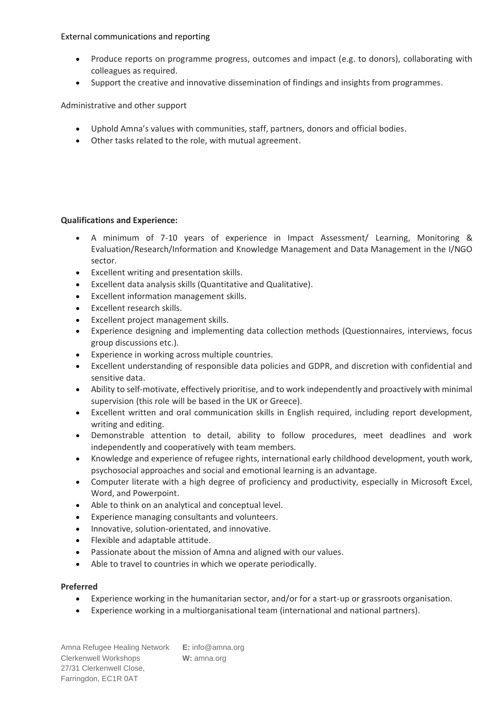#### External communications and reporting

- Produce reports on programme progress, outcomes and impact (e.g. to donors), collaborating with colleagues as required.
- Support the creative and innovative dissemination of findings and insights from programmes.

Administrative and other support

- Uphold Amna's values with communities, staff, partners, donors and official bodies.
- Other tasks related to the role, with mutual agreement.

# **Qualifications and Experience:**

- A minimum of 7-10 years of experience in Impact Assessment/ Learning, Monitoring & Evaluation/Research/Information and Knowledge Management and Data Management in the I/NGO sector.
- Excellent writing and presentation skills.
- Excellent data analysis skills (Quantitative and Qualitative).
- Excellent information management skills.
- Excellent research skills.
- Excellent project management skills.
- Experience designing and implementing data collection methods (Questionnaires, interviews, focus group discussions etc.).
- Experience in working across multiple countries.
- Excellent understanding of responsible data policies and GDPR, and discretion with confidential and sensitive data.
- Ability to self-motivate, effectively prioritise, and to work independently and proactively with minimal supervision (this role will be based in the UK or Greece).
- Excellent written and oral communication skills in English required, including report development, writing and editing.
- Demonstrable attention to detail, ability to follow procedures, meet deadlines and work independently and cooperatively with team members.
- Knowledge and experience of refugee rights, international early childhood development, youth work, psychosocial approaches and social and emotional learning is an advantage.
- Computer literate with a high degree of proficiency and productivity, especially in Microsoft Excel, Word, and Powerpoint.
- Able to think on an analytical and conceptual level.
- Experience managing consultants and volunteers.
- Innovative, solution-orientated, and innovative.
- Flexible and adaptable attitude.
- Passionate about the mission of Amna and aligned with our values.
- Able to travel to countries in which we operate periodically.

# **Preferred**

- Experience working in the humanitarian sector, and/or for a start-up or grassroots organisation.
- Experience working in a multiorganisational team (international and national partners).